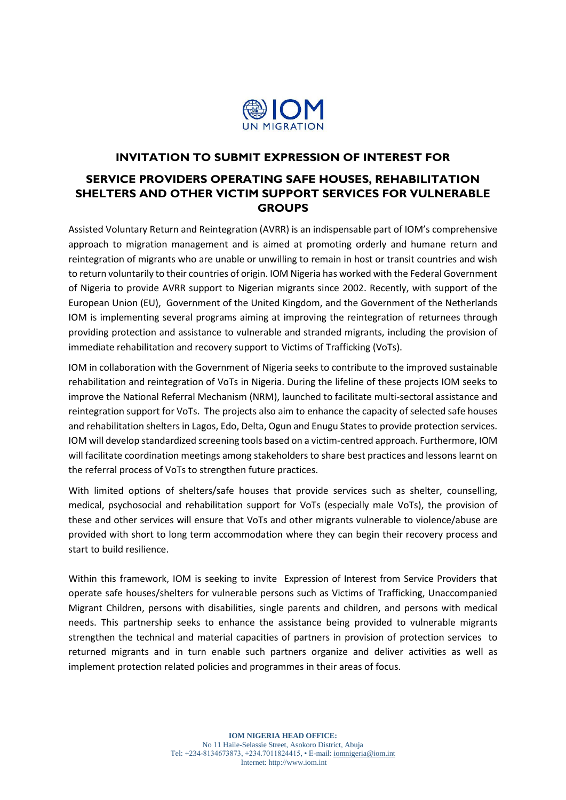

### **INVITATION TO SUBMIT EXPRESSION OF INTEREST FOR**

# **SERVICE PROVIDERS OPERATING SAFE HOUSES, REHABILITATION SHELTERS AND OTHER VICTIM SUPPORT SERVICES FOR VULNERABLE GROUPS**

Assisted Voluntary Return and Reintegration (AVRR) is an indispensable part of IOM's comprehensive approach to migration management and is aimed at promoting orderly and humane return and reintegration of migrants who are unable or unwilling to remain in host or transit countries and wish to return voluntarily to their countries of origin. IOM Nigeria has worked with the Federal Government of Nigeria to provide AVRR support to Nigerian migrants since 2002. Recently, with support of the European Union (EU), Government of the United Kingdom, and the Government of the Netherlands IOM is implementing several programs aiming at improving the reintegration of returnees through providing protection and assistance to vulnerable and stranded migrants, including the provision of immediate rehabilitation and recovery support to Victims of Trafficking (VoTs).

IOM in collaboration with the Government of Nigeria seeks to contribute to the improved sustainable rehabilitation and reintegration of VoTs in Nigeria. During the lifeline of these projects IOM seeks to improve the National Referral Mechanism (NRM), launched to facilitate multi-sectoral assistance and reintegration support for VoTs. The projects also aim to enhance the capacity of selected safe houses and rehabilitation shelters in Lagos, Edo, Delta, Ogun and Enugu States to provide protection services. IOM will develop standardized screening tools based on a victim-centred approach. Furthermore, IOM will facilitate coordination meetings among stakeholders to share best practices and lessons learnt on the referral process of VoTs to strengthen future practices.

With limited options of shelters/safe houses that provide services such as shelter, counselling, medical, psychosocial and rehabilitation support for VoTs (especially male VoTs), the provision of these and other services will ensure that VoTs and other migrants vulnerable to violence/abuse are provided with short to long term accommodation where they can begin their recovery process and start to build resilience.

Within this framework, IOM is seeking to invite Expression of Interest from Service Providers that operate safe houses/shelters for vulnerable persons such as Victims of Trafficking, Unaccompanied Migrant Children, persons with disabilities, single parents and children, and persons with medical needs. This partnership seeks to enhance the assistance being provided to vulnerable migrants strengthen the technical and material capacities of partners in provision of protection services to returned migrants and in turn enable such partners organize and deliver activities as well as implement protection related policies and programmes in their areas of focus.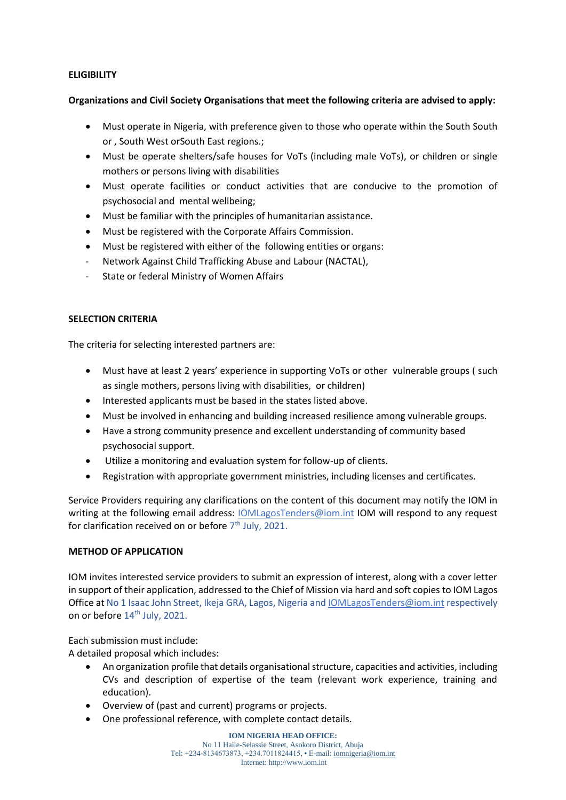### **ELIGIBILITY**

### **Organizations and Civil Society Organisations that meet the following criteria are advised to apply:**

- Must operate in Nigeria, with preference given to those who operate within the South South or , South West orSouth East regions.;
- Must be operate shelters/safe houses for VoTs (including male VoTs), or children or single mothers or persons living with disabilities
- Must operate facilities or conduct activities that are conducive to the promotion of psychosocial and mental wellbeing;
- Must be familiar with the principles of humanitarian assistance.
- Must be registered with the Corporate Affairs Commission.
- Must be registered with either of the following entities or organs:
- Network Against Child Trafficking Abuse and Labour (NACTAL),
- State or federal Ministry of Women Affairs

## **SELECTION CRITERIA**

The criteria for selecting interested partners are:

- Must have at least 2 years' experience in supporting VoTs or other vulnerable groups (such as single mothers, persons living with disabilities, or children)
- Interested applicants must be based in the states listed above.
- Must be involved in enhancing and building increased resilience among vulnerable groups.
- Have a strong community presence and excellent understanding of community based psychosocial support.
- Utilize a monitoring and evaluation system for follow-up of clients.
- Registration with appropriate government ministries, including licenses and certificates.

Service Providers requiring any clarifications on the content of this document may notify the IOM in writing at the following email address: [IOMLagosTenders@iom.int](mailto:IOMLagosTenders@iom.int) IOM will respond to any request for clarification received on or before 7<sup>th</sup> July, 2021.

#### **METHOD OF APPLICATION**

IOM invites interested service providers to submit an expression of interest, along with a cover letter in support of their application, addressed to the Chief of Mission via hard and soft copies to IOM Lagos Office at No 1 Isaac John Street, Ikeja GRA, Lagos, Nigeria and *IOMLagosTenders@iom.int respectively* on or before 14<sup>th</sup> July, 2021.

Each submission must include:

A detailed proposal which includes:

- An organization profile that details organisational structure, capacities and activities, including CVs and description of expertise of the team (relevant work experience, training and education).
- Overview of (past and current) programs or projects.
- One professional reference, with complete contact details.